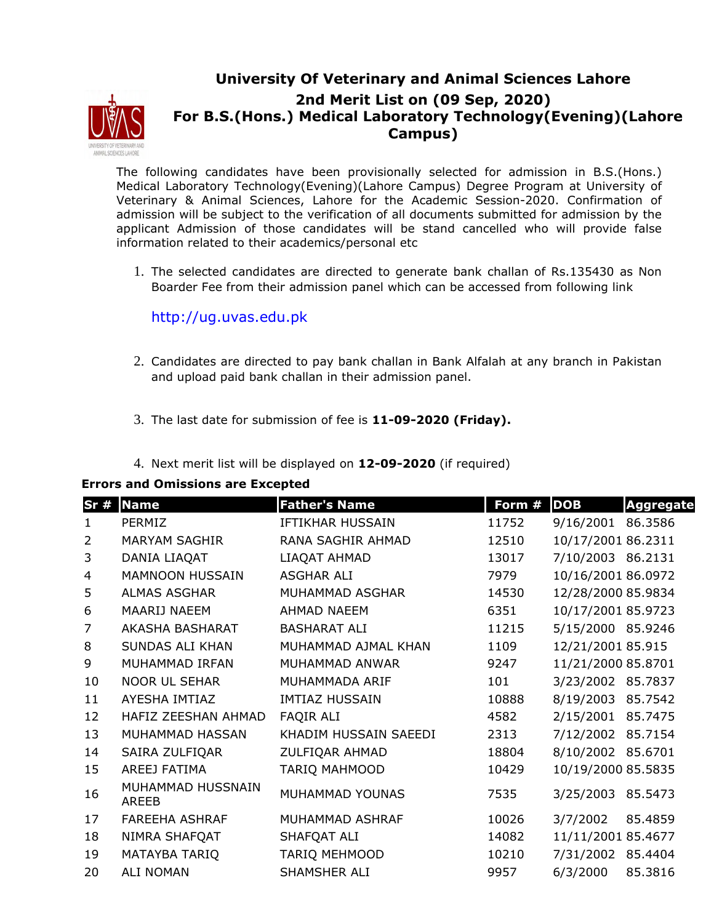

## **University Of Veterinary and Animal Sciences Lahore 2nd Merit List on (09 Sep, 2020) For B.S.(Hons.) Medical Laboratory Technology(Evening)(Lahore Campus)**

The following candidates have been provisionally selected for admission in B.S.(Hons.) Medical Laboratory Technology(Evening)(Lahore Campus) Degree Program at University of Veterinary & Animal Sciences, Lahore for the Academic Session-2020. Confirmation of admission will be subject to the verification of all documents submitted for admission by the applicant Admission of those candidates will be stand cancelled who will provide false information related to their academics/personal etc

1. The selected candidates are directed to generate bank challan of Rs.135430 as Non Boarder Fee from their admission panel which can be accessed from following link

http://ug.uvas.edu.pk

- 2. Candidates are directed to pay bank challan in Bank Alfalah at any branch in Pakistan and upload paid bank challan in their admission panel.
- 3. The last date for submission of fee is **11-09-2020 (Friday).**
- 4. Next merit list will be displayed on **12-09-2020** (if required)

## **Errors and Omissions are Excepted**

| Sr#            | <b>Name</b>                | <b>Father's Name</b>    | Form # | <b>DOB</b>         | <b>Aggregate</b> |
|----------------|----------------------------|-------------------------|--------|--------------------|------------------|
| $\mathbf{1}$   | PERMIZ                     | <b>IFTIKHAR HUSSAIN</b> | 11752  | 9/16/2001          | 86.3586          |
| $\overline{2}$ | <b>MARYAM SAGHIR</b>       | RANA SAGHIR AHMAD       | 12510  | 10/17/2001 86.2311 |                  |
| 3              | DANIA LIAQAT               | LIAQAT AHMAD            | 13017  | 7/10/2003 86.2131  |                  |
| 4              | <b>MAMNOON HUSSAIN</b>     | <b>ASGHAR ALI</b>       | 7979   | 10/16/2001 86.0972 |                  |
| 5              | <b>ALMAS ASGHAR</b>        | MUHAMMAD ASGHAR         | 14530  | 12/28/2000 85.9834 |                  |
| 6              | MAARIJ NAEEM               | <b>AHMAD NAEEM</b>      | 6351   | 10/17/2001 85.9723 |                  |
| 7              | AKASHA BASHARAT            | <b>BASHARAT ALI</b>     | 11215  | 5/15/2000 85.9246  |                  |
| 8              | <b>SUNDAS ALI KHAN</b>     | MUHAMMAD AJMAL KHAN     | 1109   | 12/21/2001 85.915  |                  |
| 9              | MUHAMMAD IRFAN             | MUHAMMAD ANWAR          | 9247   | 11/21/2000 85.8701 |                  |
| 10             | <b>NOOR UL SEHAR</b>       | MUHAMMADA ARIF          | 101    | 3/23/2002 85.7837  |                  |
| 11             | AYESHA IMTIAZ              | <b>IMTIAZ HUSSAIN</b>   | 10888  | 8/19/2003          | 85.7542          |
| 12             | HAFIZ ZEESHAN AHMAD        | <b>FAQIR ALI</b>        | 4582   | 2/15/2001          | 85.7475          |
| 13             | MUHAMMAD HASSAN            | KHADIM HUSSAIN SAEEDI   | 2313   | 7/12/2002          | 85.7154          |
| 14             | SAIRA ZULFIQAR             | ZULFIQAR AHMAD          | 18804  | 8/10/2002 85.6701  |                  |
| 15             | AREEJ FATIMA               | <b>TARIQ MAHMOOD</b>    | 10429  | 10/19/2000 85.5835 |                  |
| 16             | MUHAMMAD HUSSNAIN<br>AREEB | MUHAMMAD YOUNAS         | 7535   | 3/25/2003          | 85.5473          |
| 17             | <b>FAREEHA ASHRAF</b>      | MUHAMMAD ASHRAF         | 10026  | 3/7/2002           | 85.4859          |
| 18             | NIMRA SHAFQAT              | SHAFQAT ALI             | 14082  | 11/11/2001 85.4677 |                  |
| 19             | MATAYBA TARIQ              | <b>TARIQ MEHMOOD</b>    | 10210  | 7/31/2002          | 85.4404          |
| 20             | <b>ALI NOMAN</b>           | SHAMSHER ALI            | 9957   | 6/3/2000           | 85.3816          |